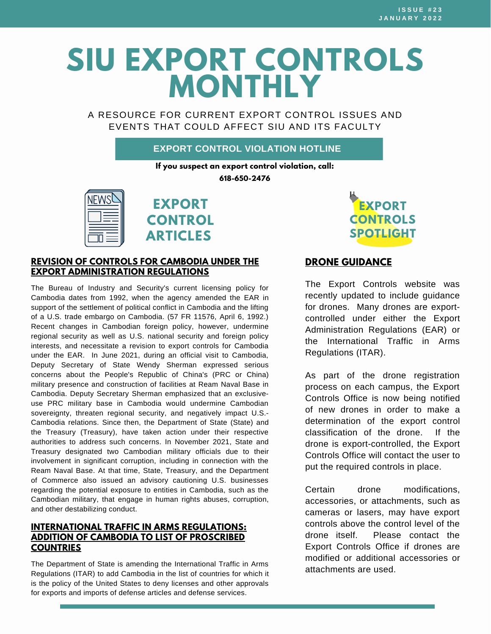# **SIU EXPORT CONTROLS MONTHLY**

A RESOURCE FOR CURRENT EXPORT CONTROL ISSUES AND EVENTS THAT COULD AFFECT SIU AND ITS FACULTY

## **EXPORT CONTROL VIOLATION HOTLINE**

**If you suspect an export control violation, call: 618-650-2476**



**EXPORT CONTROL ARTICLES**

#### **REVISION OF CONTROLS FOR CAMBODIA UNDER THE EXPORT [ADMINISTRATION](https://www.federalregister.gov/documents/2021/12/09/2021-26633/revision-of-controls-for-cambodia-under-the-export-administration-regulations) REGULATIONS**

The Bureau of Industry and Security's current licensing policy for Cambodia dates from 1992, when the agency amended the EAR in support of the settlement of political conflict in Cambodia and the lifting of a U.S. trade embargo on Cambodia. (57 FR [11576](https://nam11.safelinks.protection.outlook.com/?url=https%3A%2F%2Fwww.federalregister.gov%2Fcitation%2F57-FR-11576&data=04%7C01%7Cbjmartin%40siu.edu%7C3ccad643bcae4849e12d08d9d5dccf65%7Cd57a98e7744d43f9bc9108de1ff3710d%7C0%7C0%7C637775966605386431%7CUnknown%7CTWFpbGZsb3d8eyJWIjoiMC4wLjAwMDAiLCJQIjoiV2luMzIiLCJBTiI6Ik1haWwiLCJXVCI6Mn0%3D%7C3000&sdata=PzxzaRZNz8lc2wkXBd0zYdmaRG0hBz36V%2BTfuZRgMuM%3D&reserved=0), April 6, 1992.) Recent changes in Cambodian foreign policy, however, undermine regional security as well as U.S. national security and foreign policy interests, and necessitate a revision to export controls for Cambodia under the EAR. In June 2021, during an official visit to Cambodia, Deputy Secretary of State Wendy Sherman expressed serious concerns about the People's Republic of China's (PRC or China) military presence and construction of facilities at Ream Naval Base in Cambodia. Deputy Secretary Sherman emphasized that an exclusiveuse PRC military base in Cambodia would undermine Cambodian sovereignty, threaten regional security, and negatively impact U.S.- Cambodia relations. Since then, the Department of State (State) and the Treasury (Treasury), have taken action under their respective authorities to address such concerns. In November 2021, State and Treasury designated two Cambodian military officials due to their involvement in significant corruption, including in connection with the Ream Naval Base. At that time, State, Treasury, and the Department of Commerce also issued an advisory cautioning U.S. businesses regarding the potential exposure to entities in Cambodia, such as the Cambodian military, that engage in human rights abuses, corruption, and other destabilizing conduct.

### **[INTERNATIONAL](https://www.federalregister.gov/documents/2021/12/09/2021-26590/international-traffic-in-arms-regulations-addition-of-cambodia-to-list-of-proscribed-countries) TRAFFIC IN ARMS REGULATIONS: ADDITION OF CAMBODIA TO LIST OF PROSCRIBED COUNTRIES**

The Department of State is amending the International Traffic in Arms Regulations (ITAR) to add Cambodia in the list of countries for which it is the policy of the United States to deny licenses and other approvals for exports and imports of defense articles and defense services.



## **DRONE [GUIDANCE](https://siusystem.edu/academic-affairs/export-controls/DroneGuidance.shtml)**

The Export Controls website was recently updated to include guidance for drones. Many drones are exportcontrolled under either the Export Administration Regulations (EAR) or the International Traffic in Arms Regulations (ITAR).

As part of the drone registration process on each campus, the Export Controls Office is now being notified of new drones in order to make a determination of the export control classification of the drone. If the drone is export-controlled, the Export Controls Office will contact the user to put the required controls in place.

Certain drone modifications, accessories, or attachments, such as cameras or lasers, may have export controls above the control level of the drone itself. Please contact the Export Controls Office if drones are modified or additional accessories or attachments are used.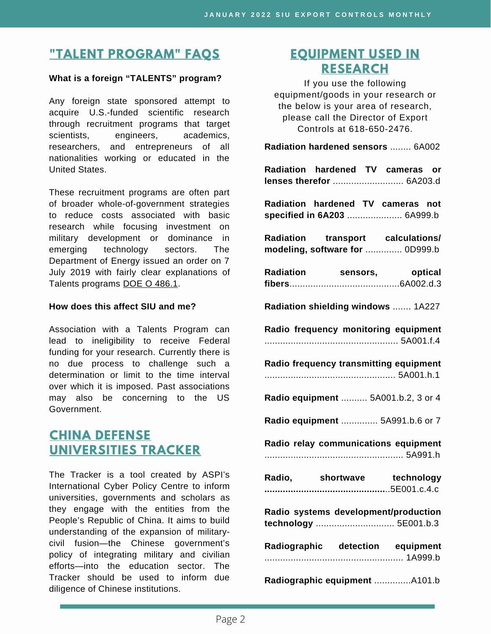# **"TALENT [PROGRAM"](https://siusystem.edu/academic-affairs/export-controls/foreign-talent-programs.shtml) FAQS**

#### **What is a foreign "TALENTS" program?**

Any foreign state sponsored attempt to acquire U.S.-funded scientific research through recruitment programs that target scientists, engineers, academics, researchers, and entrepreneurs of all nationalities working or educated in the United States.

These recruitment programs are often part of broader whole-of-government strategies to reduce costs associated with basic research while focusing investment on military development or dominance in emerging technology sectors. The Department of Energy issued an order on 7 July 2019 with fairly clear explanations of Talents programs DOE O [486.1.](https://www.directives.doe.gov/directives-documents/400-series/0486-1-border/@@images/file)

### **How does this affect SIU and me?**

Association with a Talents Program can lead to ineligibility to receive Federal funding for your research. Currently there is no due process to challenge such a determination or limit to the time interval over which it is imposed. Past associations may also be concerning to the US Government.

## **CHINA DEFENSE [UNIVERSITIES](https://unitracker.aspi.org.au/) TRACKER**

The Tracker is a tool created by ASPI's International Cyber Policy Centre to inform universities, governments and scholars as they engage with the entities from the People's Republic of China. It aims to build understanding of the expansion of militarycivil fusion—the Chinese government's policy of integrating military and civilian efforts—into the education sector. The Tracker should be used to inform due diligence of Chinese institutions.

## **[EQUIPMENT](https://www.bis.doc.gov/index.php/documents/regulations-docs/2329-commerce-control-list-index-3/file) USED IN RESEARCH**

If you use the following equipment/goods in your research or the below is your area of research, please call the Director of Export Controls at 618-650-2476.

**Radiation hardened sensors** ........ 6A002 **Radiation hardened TV cameras or lenses therefor** ........................... 6A203.d

**Radiation hardened TV cameras not specified in 6A203** ..................... 6A999.b

**Radiation transport calculations/ modeling, software for** .............. 0D999.b

| <b>Radiation</b> | sensors, | optical |
|------------------|----------|---------|
|                  |          |         |

**Radiation shielding windows** ....... 1A227

**Radio frequency monitoring equipment** ................................................... 5A001.f.4

**Radio frequency transmitting equipment** .................................................. 5A001.h.1

**Radio equipment** .......... 5A001.b.2, 3 or 4

**Radio equipment** .............. 5A991.b.6 or 7

**Radio relay communications equipment** ..................................................... 5A991.h

| Radio, | shortwave | technology |
|--------|-----------|------------|
|        |           |            |

**Radio systems development/production technology** .............................. 5E001.b.3

| Radiographic detection equipment |              |
|----------------------------------|--------------|
|                                  |              |
| Dediaaranhia aguinmant           | $\sqrt{101}$ |

**Radiographic equipment** ..............A101.b